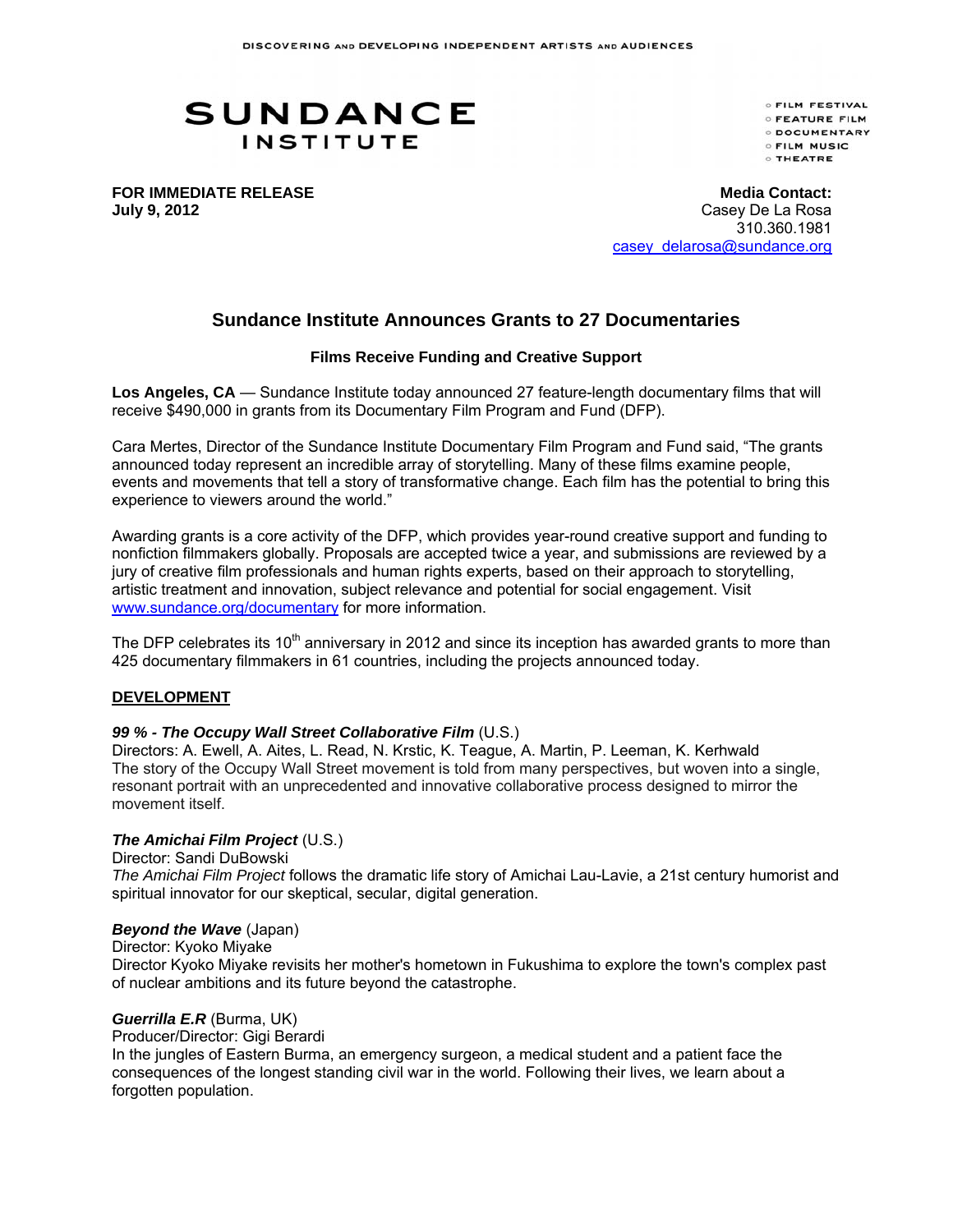# **SUNDANCE INSTITUTE**

**OFILM FESTIVAL OFEATURE FILM DOCUMENTARY OFILM MUSIC O THEATRE** 

**FOR IMMEDIATE RELEASE July 9, 2012** 

**Media Contact:** Casey De La Rosa 310.360.1981 casey\_delarosa@sundance.org

# **Sundance Institute Announces Grants to 27 Documentaries**

#### **Films Receive Funding and Creative Support**

**Los Angeles, CA** — Sundance Institute today announced 27 feature-length documentary films that will receive \$490,000 in grants from its Documentary Film Program and Fund (DFP).

Cara Mertes, Director of the Sundance Institute Documentary Film Program and Fund said, "The grants announced today represent an incredible array of storytelling. Many of these films examine people, events and movements that tell a story of transformative change. Each film has the potential to bring this experience to viewers around the world."

Awarding grants is a core activity of the DFP, which provides year-round creative support and funding to nonfiction filmmakers globally. Proposals are accepted twice a year, and submissions are reviewed by a jury of creative film professionals and human rights experts, based on their approach to storytelling, artistic treatment and innovation, subject relevance and potential for social engagement. Visit www.sundance.org/documentary for more information.

The DFP celebrates its  $10<sup>th</sup>$  anniversary in 2012 and since its inception has awarded grants to more than 425 documentary filmmakers in 61 countries, including the projects announced today.

## **DEVELOPMENT**

## *99 % - The Occupy Wall Street Collaborative Film* (U.S.)

Directors: A. Ewell, A. Aites, L. Read, N. Krstic, K. Teague, A. Martin, P. Leeman, K. Kerhwald The story of the Occupy Wall Street movement is told from many perspectives, but woven into a single, resonant portrait with an unprecedented and innovative collaborative process designed to mirror the movement itself.

#### *The Amichai Film Project* (U.S.)

Director: Sandi DuBowski

*The Amichai Film Project* follows the dramatic life story of Amichai Lau-Lavie, a 21st century humorist and spiritual innovator for our skeptical, secular, digital generation.

#### *Beyond the Wave* (Japan)

Director: Kyoko Miyake

Director Kyoko Miyake revisits her mother's hometown in Fukushima to explore the town's complex past of nuclear ambitions and its future beyond the catastrophe.

#### *Guerrilla E.R* (Burma, UK)

Producer/Director: Gigi Berardi

In the jungles of Eastern Burma, an emergency surgeon, a medical student and a patient face the consequences of the longest standing civil war in the world. Following their lives, we learn about a forgotten population.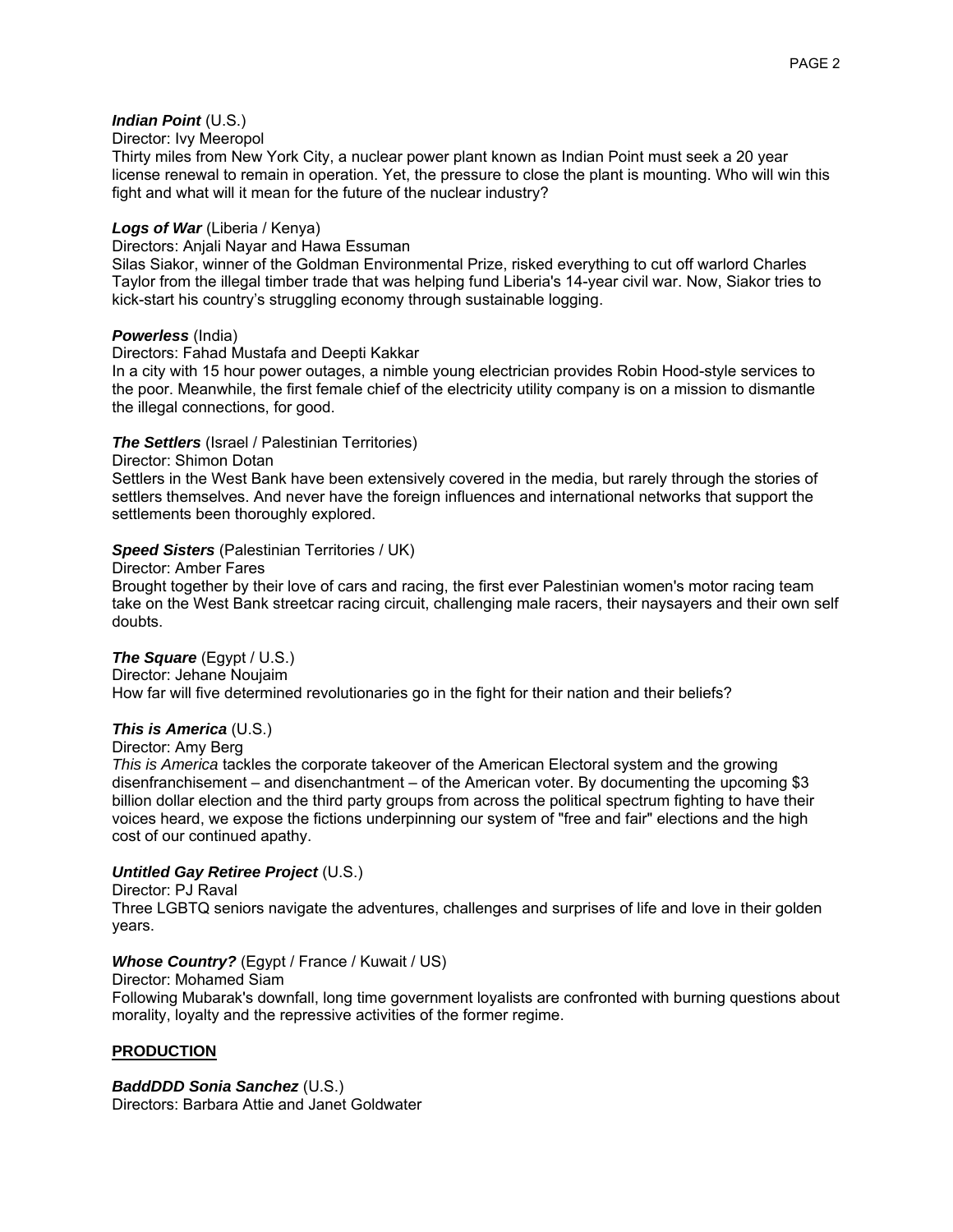# *Indian Point* (U.S.)

#### Director: Ivy Meeropol

Thirty miles from New York City, a nuclear power plant known as Indian Point must seek a 20 year license renewal to remain in operation. Yet, the pressure to close the plant is mounting. Who will win this fight and what will it mean for the future of the nuclear industry?

## *Logs of War* (Liberia / Kenya)

Directors: Anjali Nayar and Hawa Essuman

Silas Siakor, winner of the Goldman Environmental Prize, risked everything to cut off warlord Charles Taylor from the illegal timber trade that was helping fund Liberia's 14-year civil war. Now, Siakor tries to kick-start his country's struggling economy through sustainable logging.

# *Powerless* (India)

Directors: Fahad Mustafa and Deepti Kakkar

In a city with 15 hour power outages, a nimble young electrician provides Robin Hood-style services to the poor. Meanwhile, the first female chief of the electricity utility company is on a mission to dismantle the illegal connections, for good.

# *The Settlers* (Israel / Palestinian Territories)

Director: Shimon Dotan

Settlers in the West Bank have been extensively covered in the media, but rarely through the stories of settlers themselves. And never have the foreign influences and international networks that support the settlements been thoroughly explored.

# *Speed Sisters* (Palestinian Territories / UK)

Director: Amber Fares

Brought together by their love of cars and racing, the first ever Palestinian women's motor racing team take on the West Bank streetcar racing circuit, challenging male racers, their naysayers and their own self doubts.

## *The Square* (Egypt / U.S.)

Director: Jehane Noujaim How far will five determined revolutionaries go in the fight for their nation and their beliefs?

# *This is America* (U.S.)

Director: Amy Berg

*This is America* tackles the corporate takeover of the American Electoral system and the growing disenfranchisement – and disenchantment – of the American voter. By documenting the upcoming \$3 billion dollar election and the third party groups from across the political spectrum fighting to have their voices heard, we expose the fictions underpinning our system of "free and fair" elections and the high cost of our continued apathy.

# *Untitled Gay Retiree Project* (U.S.)

Director: PJ Raval

Three LGBTQ seniors navigate the adventures, challenges and surprises of life and love in their golden years.

## *Whose Country?* (Egypt / France / Kuwait / US)

Director: Mohamed Siam

Following Mubarak's downfall, long time government loyalists are confronted with burning questions about morality, loyalty and the repressive activities of the former regime.

# **PRODUCTION**

## *BaddDDD Sonia Sanchez* (U.S.)

Directors: Barbara Attie and Janet Goldwater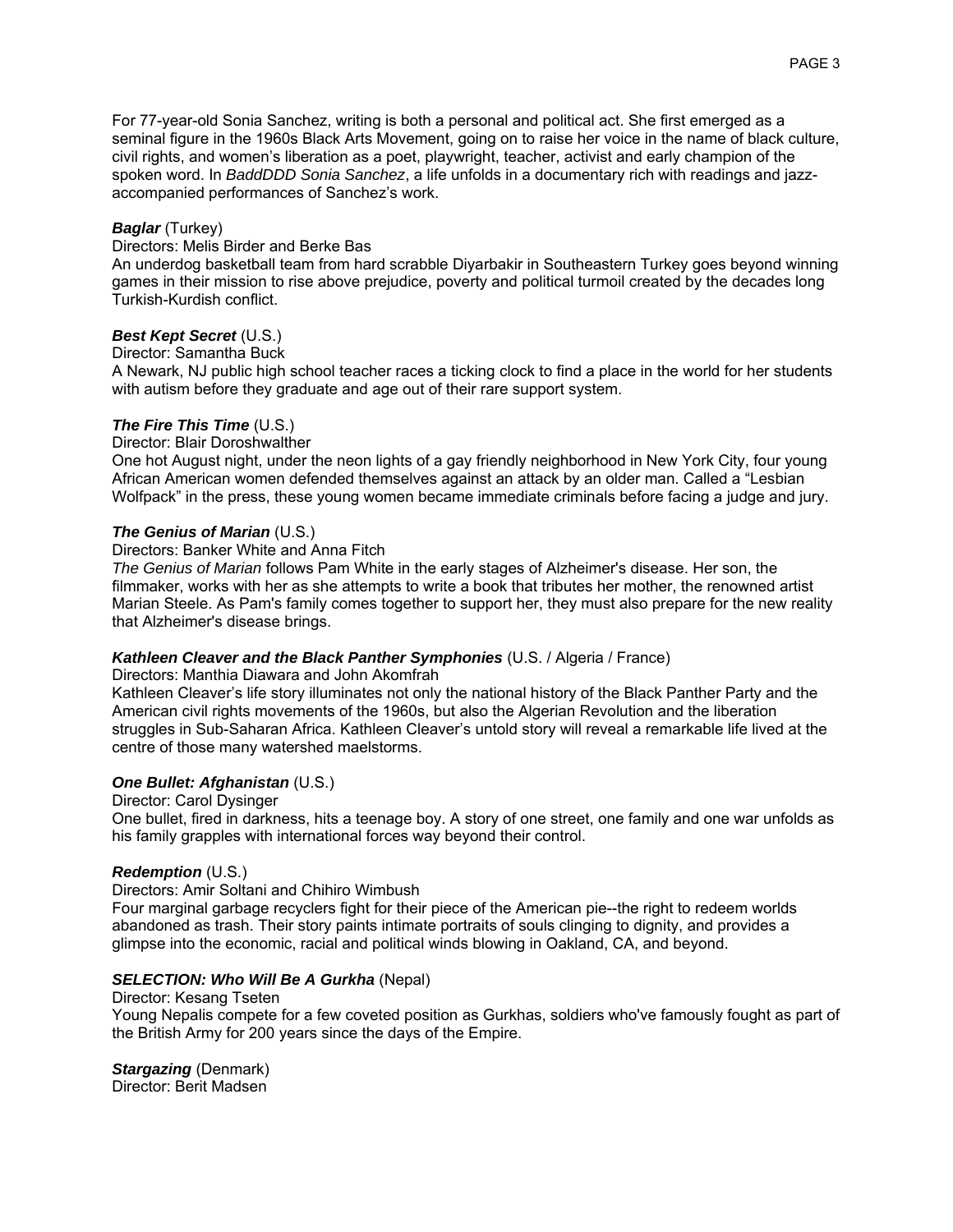For 77-year-old Sonia Sanchez, writing is both a personal and political act. She first emerged as a seminal figure in the 1960s Black Arts Movement, going on to raise her voice in the name of black culture, civil rights, and women's liberation as a poet, playwright, teacher, activist and early champion of the spoken word. In *BaddDDD Sonia Sanchez*, a life unfolds in a documentary rich with readings and jazzaccompanied performances of Sanchez's work.

## *Baglar* (Turkey)

## Directors: Melis Birder and Berke Bas

An underdog basketball team from hard scrabble Diyarbakir in Southeastern Turkey goes beyond winning games in their mission to rise above prejudice, poverty and political turmoil created by the decades long Turkish-Kurdish conflict.

# *Best Kept Secret* (U.S.)

## Director: Samantha Buck

A Newark, NJ public high school teacher races a ticking clock to find a place in the world for her students with autism before they graduate and age out of their rare support system.

## *The Fire This Time* (U.S.)

# Director: Blair Doroshwalther

One hot August night, under the neon lights of a gay friendly neighborhood in New York City, four young African American women defended themselves against an attack by an older man. Called a "Lesbian Wolfpack" in the press, these young women became immediate criminals before facing a judge and jury.

## *The Genius of Marian* (U.S.)

#### Directors: Banker White and Anna Fitch

*The Genius of Marian* follows Pam White in the early stages of Alzheimer's disease. Her son, the filmmaker, works with her as she attempts to write a book that tributes her mother, the renowned artist Marian Steele. As Pam's family comes together to support her, they must also prepare for the new reality that Alzheimer's disease brings.

## *Kathleen Cleaver and the Black Panther Symphonies* (U.S. / Algeria / France)

## Directors: Manthia Diawara and John Akomfrah

Kathleen Cleaver's life story illuminates not only the national history of the Black Panther Party and the American civil rights movements of the 1960s, but also the Algerian Revolution and the liberation struggles in Sub-Saharan Africa. Kathleen Cleaver's untold story will reveal a remarkable life lived at the centre of those many watershed maelstorms.

## *One Bullet: Afghanistan* (U.S.)

Director: Carol Dysinger One bullet, fired in darkness, hits a teenage boy. A story of one street, one family and one war unfolds as his family grapples with international forces way beyond their control.

## *Redemption* (U.S.)

## Directors: Amir Soltani and Chihiro Wimbush

Four marginal garbage recyclers fight for their piece of the American pie--the right to redeem worlds abandoned as trash. Their story paints intimate portraits of souls clinging to dignity, and provides a glimpse into the economic, racial and political winds blowing in Oakland, CA, and beyond.

## *SELECTION: Who Will Be A Gurkha* (Nepal)

#### Director: Kesang Tseten Young Nepalis compete for a few coveted position as Gurkhas, soldiers who've famously fought as part of the British Army for 200 years since the days of the Empire.

# *Stargazing* (Denmark)

Director: Berit Madsen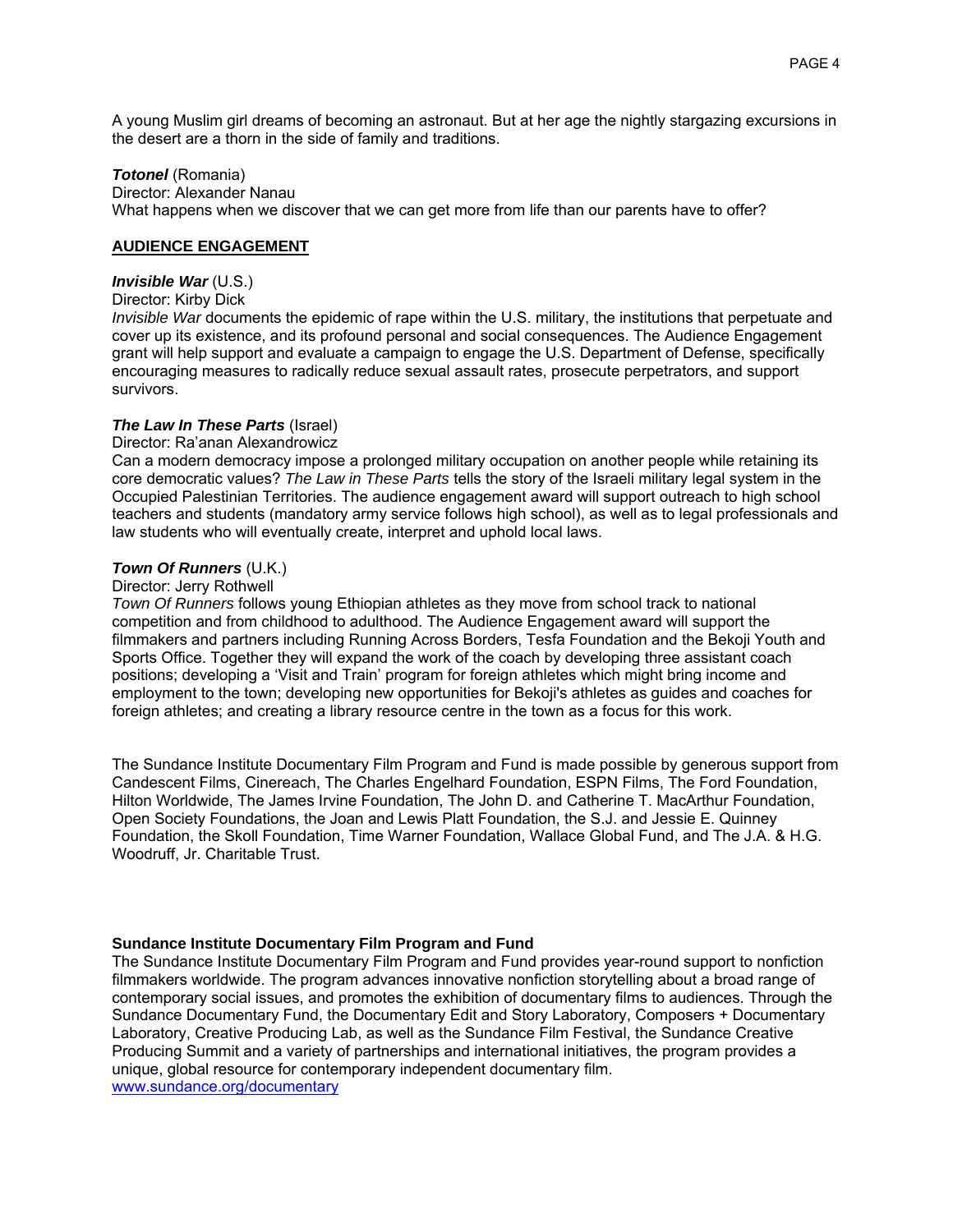A young Muslim girl dreams of becoming an astronaut. But at her age the nightly stargazing excursions in the desert are a thorn in the side of family and traditions.

#### *Totonel* (Romania)

Director: Alexander Nanau What happens when we discover that we can get more from life than our parents have to offer?

#### **AUDIENCE ENGAGEMENT**

# *Invisible War* (U.S.)

Director: Kirby Dick

*Invisible War* documents the epidemic of rape within the U.S. military, the institutions that perpetuate and cover up its existence, and its profound personal and social consequences. The Audience Engagement grant will help support and evaluate a campaign to engage the U.S. Department of Defense, specifically encouraging measures to radically reduce sexual assault rates, prosecute perpetrators, and support survivors.

## *The Law In These Parts* (Israel)

#### Director: Ra'anan Alexandrowicz

Can a modern democracy impose a prolonged military occupation on another people while retaining its core democratic values? *The Law in These Parts* tells the story of the Israeli military legal system in the Occupied Palestinian Territories. The audience engagement award will support outreach to high school teachers and students (mandatory army service follows high school), as well as to legal professionals and law students who will eventually create, interpret and uphold local laws.

## *Town Of Runners* (U.K.)

#### Director: Jerry Rothwell

*Town Of Runners* follows young Ethiopian athletes as they move from school track to national competition and from childhood to adulthood. The Audience Engagement award will support the filmmakers and partners including Running Across Borders, Tesfa Foundation and the Bekoji Youth and Sports Office. Together they will expand the work of the coach by developing three assistant coach positions; developing a ʻVisit and Train' program for foreign athletes which might bring income and employment to the town; developing new opportunities for Bekoji's athletes as guides and coaches for foreign athletes; and creating a library resource centre in the town as a focus for this work.

The Sundance Institute Documentary Film Program and Fund is made possible by generous support from Candescent Films, Cinereach, The Charles Engelhard Foundation, ESPN Films, The Ford Foundation, Hilton Worldwide, The James Irvine Foundation, The John D. and Catherine T. MacArthur Foundation, Open Society Foundations, the Joan and Lewis Platt Foundation, the S.J. and Jessie E. Quinney Foundation, the Skoll Foundation, Time Warner Foundation, Wallace Global Fund, and The J.A. & H.G. Woodruff, Jr. Charitable Trust.

## **Sundance Institute Documentary Film Program and Fund**

The Sundance Institute Documentary Film Program and Fund provides year-round support to nonfiction filmmakers worldwide. The program advances innovative nonfiction storytelling about a broad range of contemporary social issues, and promotes the exhibition of documentary films to audiences. Through the Sundance Documentary Fund, the Documentary Edit and Story Laboratory, Composers + Documentary Laboratory, Creative Producing Lab, as well as the Sundance Film Festival, the Sundance Creative Producing Summit and a variety of partnerships and international initiatives, the program provides a unique, global resource for contemporary independent documentary film. www.sundance.org/documentary